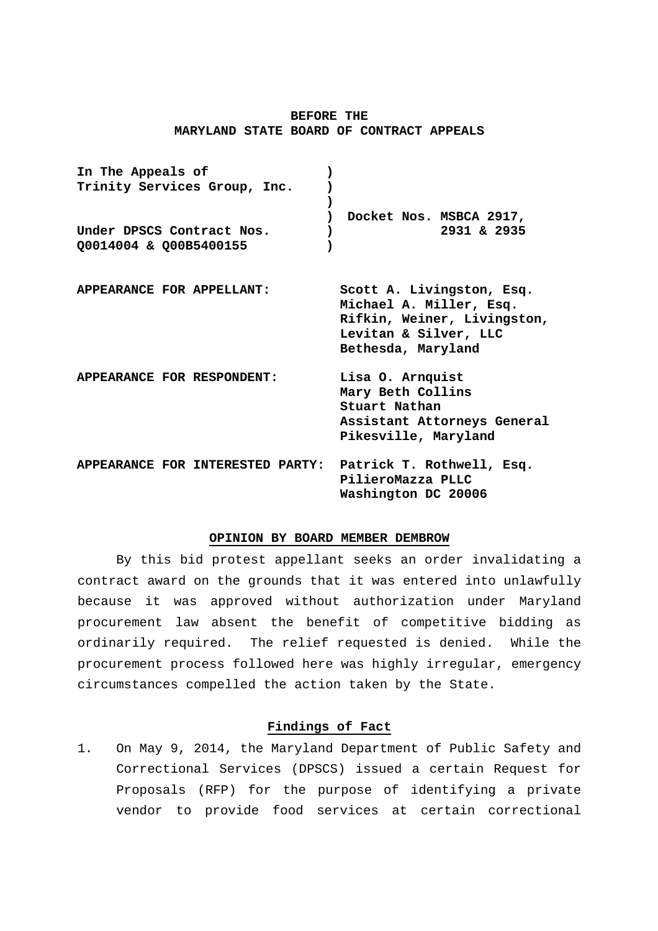# **BEFORE THE MARYLAND STATE BOARD OF CONTRACT APPEALS**

| In The Appeals of<br>Trinity Services Group, Inc.          |                                                                                                                                    |
|------------------------------------------------------------|------------------------------------------------------------------------------------------------------------------------------------|
| Under DPSCS Contract Nos.<br>Q0014004 & Q00B5400155        | Docket Nos. MSBCA 2917,<br>2931 & 2935                                                                                             |
| APPEARANCE FOR APPELLANT:                                  | Scott A. Livingston, Esq.<br>Michael A. Miller, Esq.<br>Rifkin, Weiner, Livingston,<br>Levitan & Silver, LLC<br>Bethesda, Maryland |
| APPEARANCE FOR RESPONDENT:                                 | Lisa O. Arnquist<br>Mary Beth Collins<br>Stuart Nathan<br>Assistant Attorneys General<br>Pikesville, Maryland                      |
| APPEARANCE FOR INTERESTED PARTY: Patrick T. Rothwell, Esq. | PilieroMazza PLLC<br>Washington DC 20006                                                                                           |

### **OPINION BY BOARD MEMBER DEMBROW**

By this bid protest appellant seeks an order invalidating a contract award on the grounds that it was entered into unlawfully because it was approved without authorization under Maryland procurement law absent the benefit of competitive bidding as ordinarily required. The relief requested is denied. While the procurement process followed here was highly irregular, emergency circumstances compelled the action taken by the State.

# **Findings of Fact**

1. On May 9, 2014, the Maryland Department of Public Safety and Correctional Services (DPSCS) issued a certain Request for Proposals (RFP) for the purpose of identifying a private vendor to provide food services at certain correctional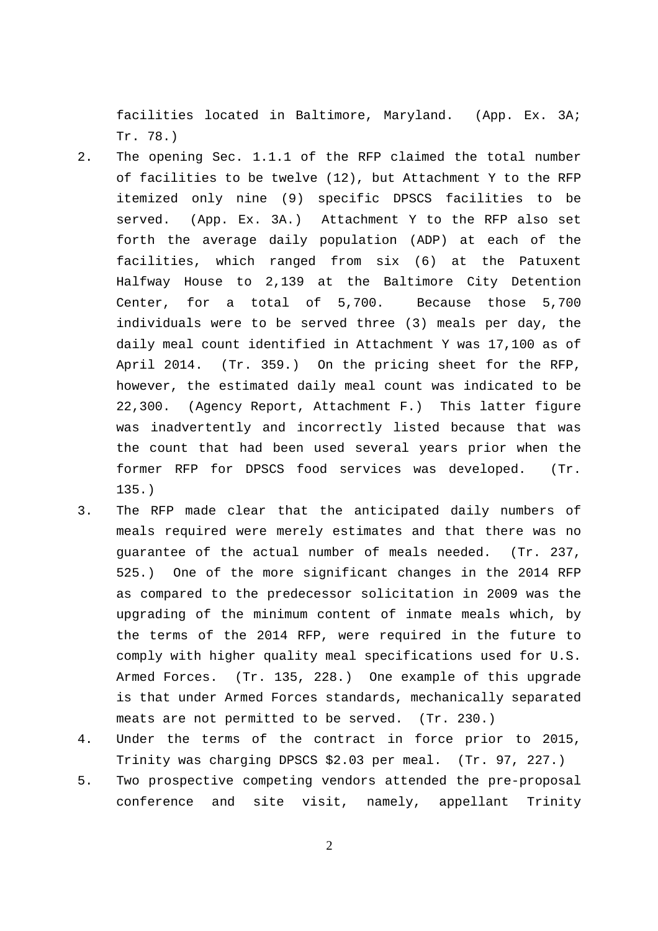facilities located in Baltimore, Maryland. (App. Ex. 3A; Tr. 78.)

- 2. The opening Sec. 1.1.1 of the RFP claimed the total number of facilities to be twelve (12), but Attachment Y to the RFP itemized only nine (9) specific DPSCS facilities to be served. (App. Ex. 3A.) Attachment Y to the RFP also set forth the average daily population (ADP) at each of the facilities, which ranged from six (6) at the Patuxent Halfway House to 2,139 at the Baltimore City Detention Center, for a total of 5,700. Because those 5,700 individuals were to be served three (3) meals per day, the daily meal count identified in Attachment Y was 17,100 as of April 2014. (Tr. 359.) On the pricing sheet for the RFP, however, the estimated daily meal count was indicated to be 22,300. (Agency Report, Attachment F.) This latter figure was inadvertently and incorrectly listed because that was the count that had been used several years prior when the former RFP for DPSCS food services was developed. (Tr. 135.)
- 3. The RFP made clear that the anticipated daily numbers of meals required were merely estimates and that there was no guarantee of the actual number of meals needed. (Tr. 237, 525.) One of the more significant changes in the 2014 RFP as compared to the predecessor solicitation in 2009 was the upgrading of the minimum content of inmate meals which, by the terms of the 2014 RFP, were required in the future to comply with higher quality meal specifications used for U.S. Armed Forces. (Tr. 135, 228.) One example of this upgrade is that under Armed Forces standards, mechanically separated meats are not permitted to be served. (Tr. 230.)
- 4. Under the terms of the contract in force prior to 2015, Trinity was charging DPSCS \$2.03 per meal. (Tr. 97, 227.)
- 5. Two prospective competing vendors attended the pre-proposal conference and site visit, namely, appellant Trinity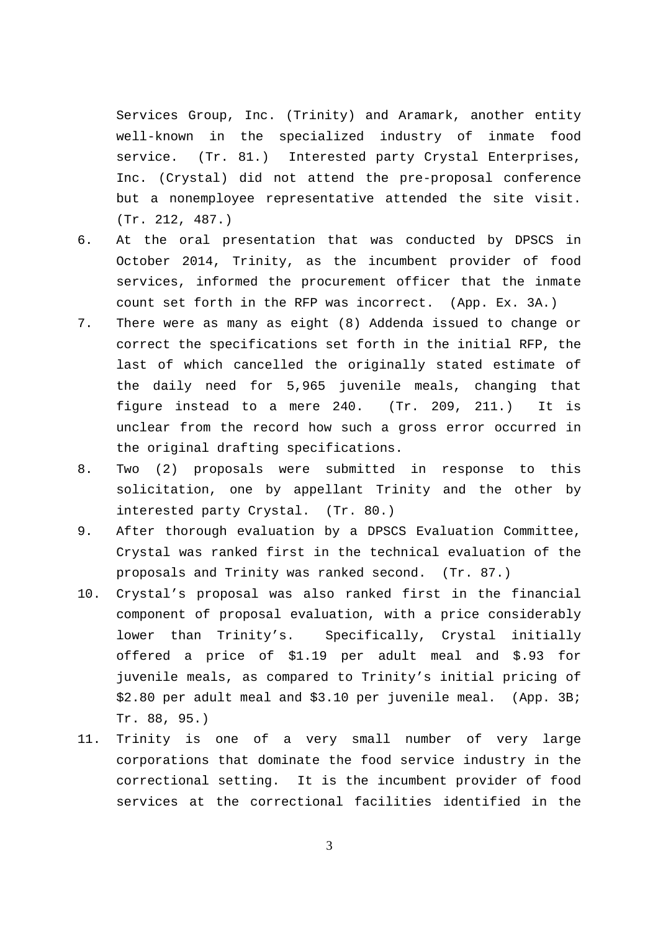Services Group, Inc. (Trinity) and Aramark, another entity well-known in the specialized industry of inmate food service. (Tr. 81.) Interested party Crystal Enterprises, Inc. (Crystal) did not attend the pre-proposal conference but a nonemployee representative attended the site visit. (Tr. 212, 487.)

- 6. At the oral presentation that was conducted by DPSCS in October 2014, Trinity, as the incumbent provider of food services, informed the procurement officer that the inmate count set forth in the RFP was incorrect. (App. Ex. 3A.)
- 7. There were as many as eight (8) Addenda issued to change or correct the specifications set forth in the initial RFP, the last of which cancelled the originally stated estimate of the daily need for 5,965 juvenile meals, changing that figure instead to a mere 240. (Tr. 209, 211.) It is unclear from the record how such a gross error occurred in the original drafting specifications.
- 8. Two (2) proposals were submitted in response to this solicitation, one by appellant Trinity and the other by interested party Crystal. (Tr. 80.)
- 9. After thorough evaluation by a DPSCS Evaluation Committee, Crystal was ranked first in the technical evaluation of the proposals and Trinity was ranked second. (Tr. 87.)
- 10. Crystal's proposal was also ranked first in the financial component of proposal evaluation, with a price considerably lower than Trinity's. Specifically, Crystal initially offered a price of \$1.19 per adult meal and \$.93 for juvenile meals, as compared to Trinity's initial pricing of \$2.80 per adult meal and \$3.10 per juvenile meal. (App. 3B; Tr. 88, 95.)
- 11. Trinity is one of a very small number of very large corporations that dominate the food service industry in the correctional setting. It is the incumbent provider of food services at the correctional facilities identified in the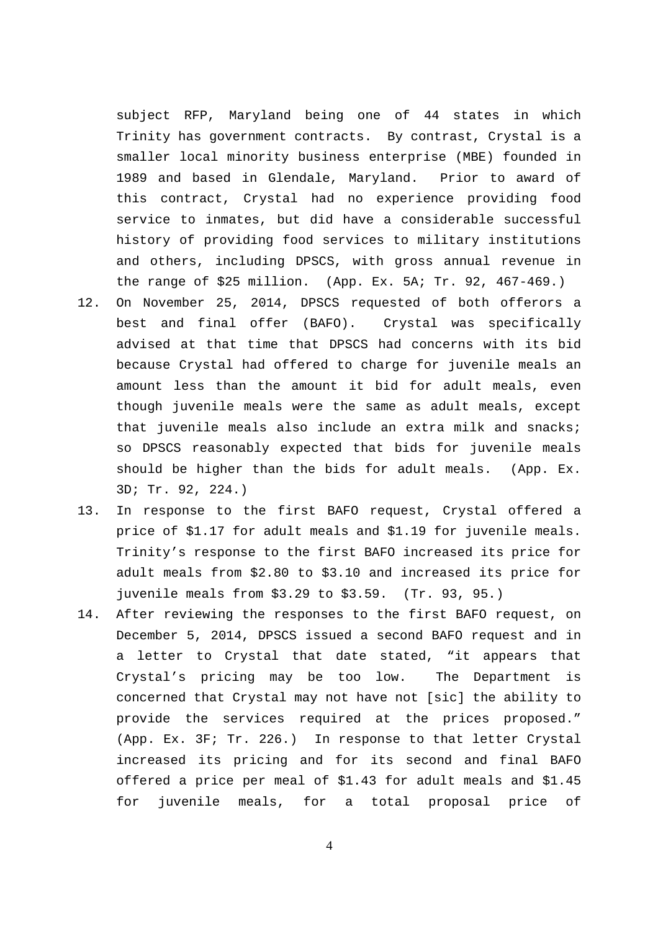subject RFP, Maryland being one of 44 states in which Trinity has government contracts. By contrast, Crystal is a smaller local minority business enterprise (MBE) founded in 1989 and based in Glendale, Maryland. Prior to award of this contract, Crystal had no experience providing food service to inmates, but did have a considerable successful history of providing food services to military institutions and others, including DPSCS, with gross annual revenue in the range of \$25 million. (App. Ex. 5A; Tr. 92, 467-469.)

- 12. On November 25, 2014, DPSCS requested of both offerors a best and final offer (BAFO). Crystal was specifically advised at that time that DPSCS had concerns with its bid because Crystal had offered to charge for juvenile meals an amount less than the amount it bid for adult meals, even though juvenile meals were the same as adult meals, except that juvenile meals also include an extra milk and snacks; so DPSCS reasonably expected that bids for juvenile meals should be higher than the bids for adult meals. (App. Ex. 3D; Tr. 92, 224.)
- 13. In response to the first BAFO request, Crystal offered a price of \$1.17 for adult meals and \$1.19 for juvenile meals. Trinity's response to the first BAFO increased its price for adult meals from \$2.80 to \$3.10 and increased its price for juvenile meals from \$3.29 to \$3.59. (Tr. 93, 95.)
- 14. After reviewing the responses to the first BAFO request, on December 5, 2014, DPSCS issued a second BAFO request and in a letter to Crystal that date stated, "it appears that Crystal's pricing may be too low. The Department is concerned that Crystal may not have not [sic] the ability to provide the services required at the prices proposed." (App. Ex. 3F; Tr. 226.) In response to that letter Crystal increased its pricing and for its second and final BAFO offered a price per meal of \$1.43 for adult meals and \$1.45 for juvenile meals, for a total proposal price of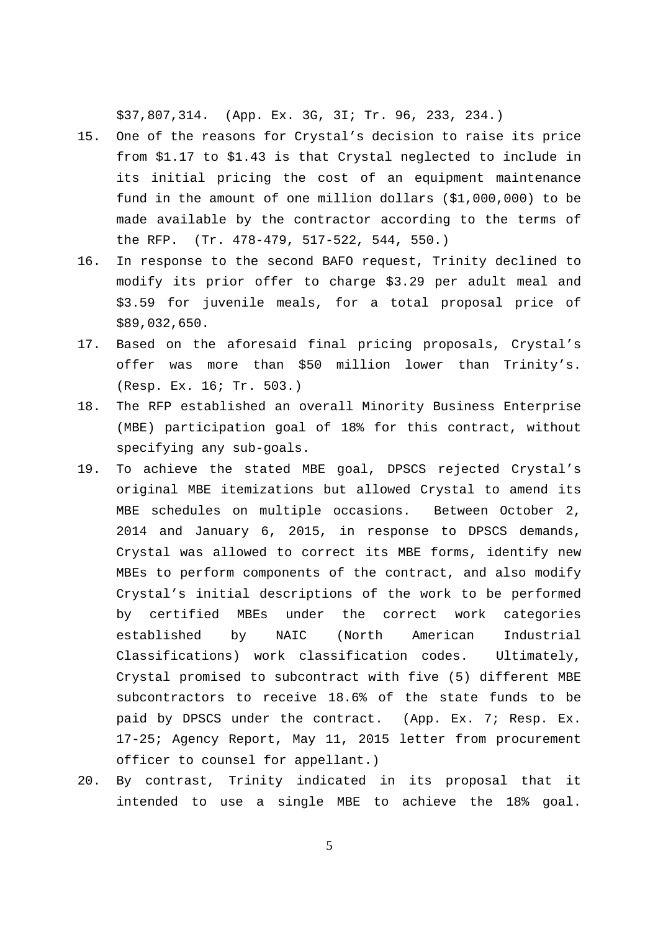\$37,807,314. (App. Ex. 3G, 3I; Tr. 96, 233, 234.)

- 15. One of the reasons for Crystal's decision to raise its price from \$1.17 to \$1.43 is that Crystal neglected to include in its initial pricing the cost of an equipment maintenance fund in the amount of one million dollars (\$1,000,000) to be made available by the contractor according to the terms of the RFP. (Tr. 478-479, 517-522, 544, 550.)
- 16. In response to the second BAFO request, Trinity declined to modify its prior offer to charge \$3.29 per adult meal and \$3.59 for juvenile meals, for a total proposal price of \$89,032,650.
- 17. Based on the aforesaid final pricing proposals, Crystal's offer was more than \$50 million lower than Trinity's. (Resp. Ex. 16; Tr. 503.)
- 18. The RFP established an overall Minority Business Enterprise (MBE) participation goal of 18% for this contract, without specifying any sub-goals.
- 19. To achieve the stated MBE goal, DPSCS rejected Crystal's original MBE itemizations but allowed Crystal to amend its MBE schedules on multiple occasions. Between October 2, 2014 and January 6, 2015, in response to DPSCS demands, Crystal was allowed to correct its MBE forms, identify new MBEs to perform components of the contract, and also modify Crystal's initial descriptions of the work to be performed by certified MBEs under the correct work categories established by NAIC (North American Industrial Classifications) work classification codes. Ultimately, Crystal promised to subcontract with five (5) different MBE subcontractors to receive 18.6% of the state funds to be paid by DPSCS under the contract. (App. Ex. 7; Resp. Ex. 17-25; Agency Report, May 11, 2015 letter from procurement officer to counsel for appellant.)
- 20. By contrast, Trinity indicated in its proposal that it intended to use a single MBE to achieve the 18% goal.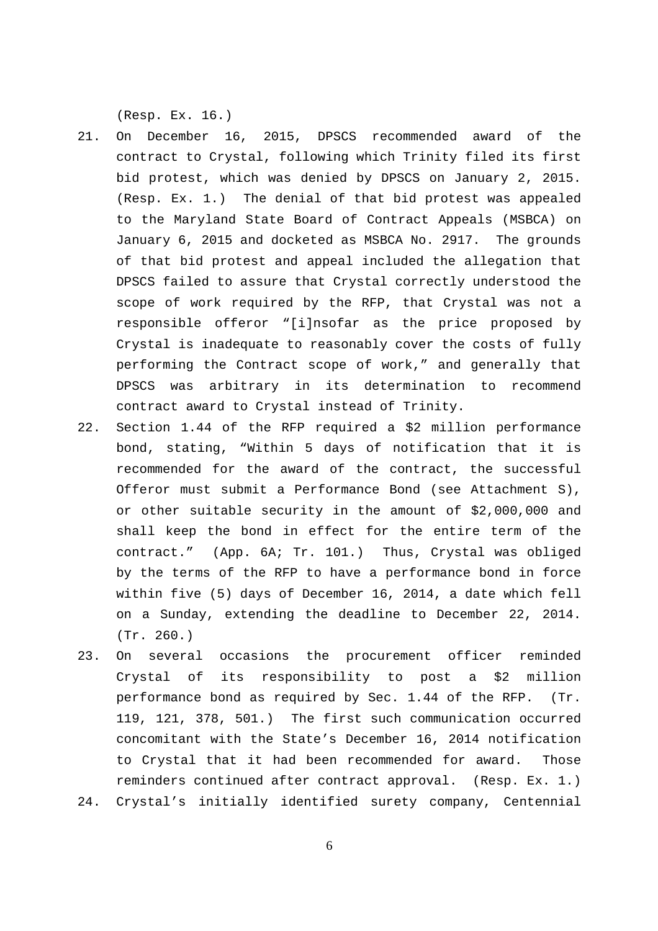(Resp. Ex. 16.)

- 21. On December 16, 2015, DPSCS recommended award of the contract to Crystal, following which Trinity filed its first bid protest, which was denied by DPSCS on January 2, 2015. (Resp. Ex. 1.) The denial of that bid protest was appealed to the Maryland State Board of Contract Appeals (MSBCA) on January 6, 2015 and docketed as MSBCA No. 2917. The grounds of that bid protest and appeal included the allegation that DPSCS failed to assure that Crystal correctly understood the scope of work required by the RFP, that Crystal was not a responsible offeror "[i]nsofar as the price proposed by Crystal is inadequate to reasonably cover the costs of fully performing the Contract scope of work," and generally that DPSCS was arbitrary in its determination to recommend contract award to Crystal instead of Trinity.
- 22. Section 1.44 of the RFP required a \$2 million performance bond, stating, "Within 5 days of notification that it is recommended for the award of the contract, the successful Offeror must submit a Performance Bond (see Attachment S), or other suitable security in the amount of \$2,000,000 and shall keep the bond in effect for the entire term of the contract." (App. 6A; Tr. 101.) Thus, Crystal was obliged by the terms of the RFP to have a performance bond in force within five (5) days of December 16, 2014, a date which fell on a Sunday, extending the deadline to December 22, 2014. (Tr. 260.)
- 23. On several occasions the procurement officer reminded Crystal of its responsibility to post a \$2 million performance bond as required by Sec. 1.44 of the RFP. (Tr. 119, 121, 378, 501.) The first such communication occurred concomitant with the State's December 16, 2014 notification to Crystal that it had been recommended for award. Those reminders continued after contract approval. (Resp. Ex. 1.)
- 24. Crystal's initially identified surety company, Centennial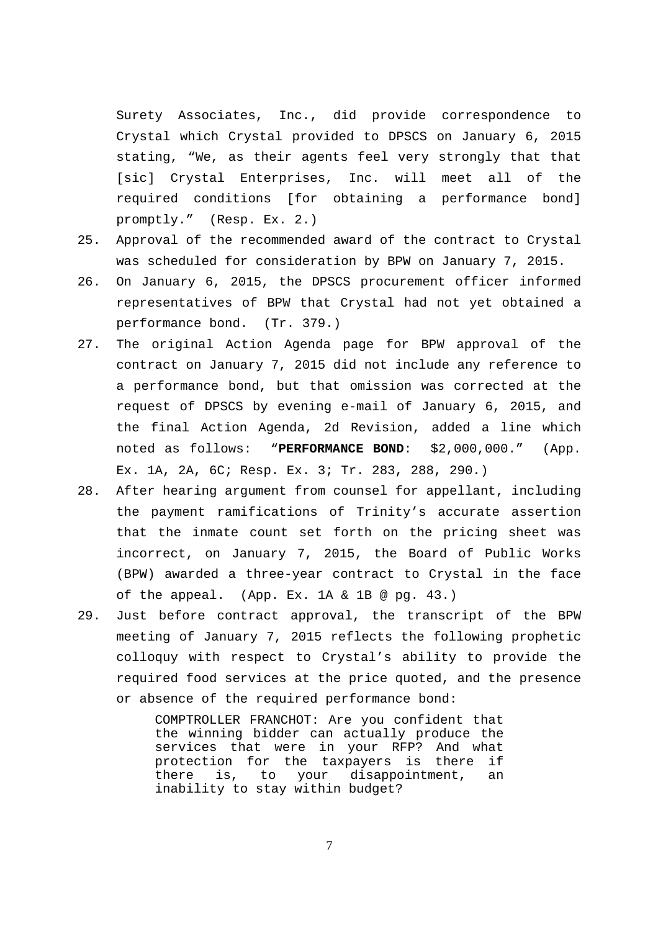Surety Associates, Inc., did provide correspondence to Crystal which Crystal provided to DPSCS on January 6, 2015 stating, "We, as their agents feel very strongly that that [sic] Crystal Enterprises, Inc. will meet all of the required conditions [for obtaining a performance bond] promptly." (Resp. Ex. 2.)

- 25. Approval of the recommended award of the contract to Crystal was scheduled for consideration by BPW on January 7, 2015.
- 26. On January 6, 2015, the DPSCS procurement officer informed representatives of BPW that Crystal had not yet obtained a performance bond. (Tr. 379.)
- 27. The original Action Agenda page for BPW approval of the contract on January 7, 2015 did not include any reference to a performance bond, but that omission was corrected at the request of DPSCS by evening e-mail of January 6, 2015, and the final Action Agenda, 2d Revision, added a line which noted as follows: "**PERFORMANCE BOND**: \$2,000,000." (App. Ex. 1A, 2A, 6C; Resp. Ex. 3; Tr. 283, 288, 290.)
- 28. After hearing argument from counsel for appellant, including the payment ramifications of Trinity's accurate assertion that the inmate count set forth on the pricing sheet was incorrect, on January 7, 2015, the Board of Public Works (BPW) awarded a three-year contract to Crystal in the face of the appeal. (App. Ex. 1A & 1B @ pg. 43.)
- 29. Just before contract approval, the transcript of the BPW meeting of January 7, 2015 reflects the following prophetic colloquy with respect to Crystal's ability to provide the required food services at the price quoted, and the presence or absence of the required performance bond:

COMPTROLLER FRANCHOT: Are you confident that the winning bidder can actually produce the services that were in your RFP? And what protection for the taxpayers is there if there is, to your disappointment, an inability to stay within budget?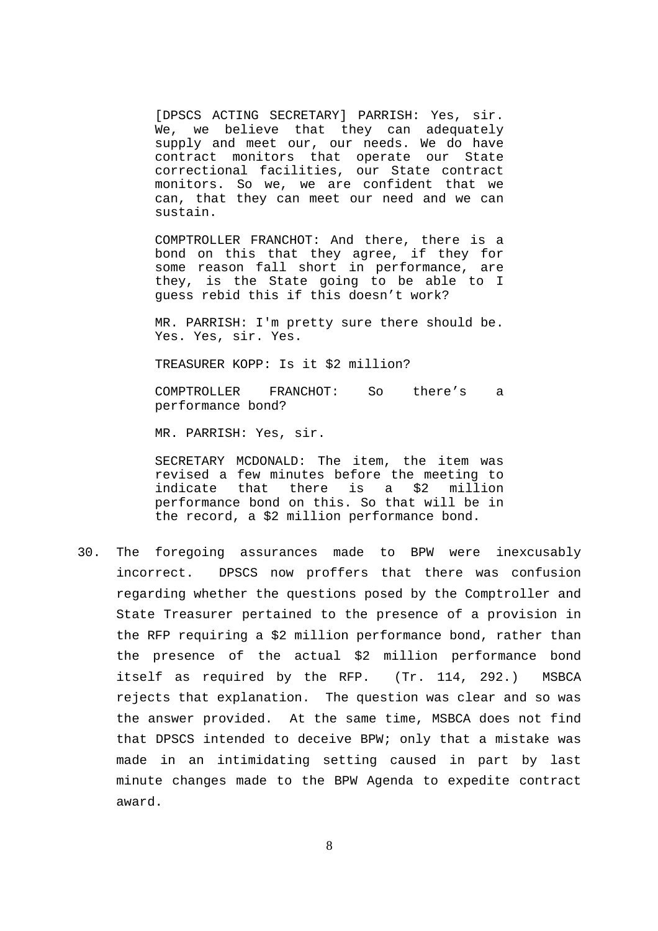[DPSCS ACTING SECRETARY] PARRISH: Yes, sir. We, we believe that they can adequately supply and meet our, our needs. We do have contract monitors that operate our State correctional facilities, our State contract monitors. So we, we are confident that we can, that they can meet our need and we can sustain.

COMPTROLLER FRANCHOT: And there, there is a bond on this that they agree, if they for some reason fall short in performance, are they, is the State going to be able to I guess rebid this if this doesn't work?

MR. PARRISH: I'm pretty sure there should be. Yes. Yes, sir. Yes.

TREASURER KOPP: Is it \$2 million?

COMPTROLLER FRANCHOT: So there's a performance bond?

MR. PARRISH: Yes, sir.

SECRETARY MCDONALD: The item, the item was revised a few minutes before the meeting to indicate that there is a \$2 million performance bond on this. So that will be in the record, a \$2 million performance bond.

30. The foregoing assurances made to BPW were inexcusably incorrect. DPSCS now proffers that there was confusion regarding whether the questions posed by the Comptroller and State Treasurer pertained to the presence of a provision in the RFP requiring a \$2 million performance bond, rather than the presence of the actual \$2 million performance bond itself as required by the RFP. (Tr. 114, 292.) MSBCA rejects that explanation. The question was clear and so was the answer provided. At the same time, MSBCA does not find that DPSCS intended to deceive BPW; only that a mistake was made in an intimidating setting caused in part by last minute changes made to the BPW Agenda to expedite contract award.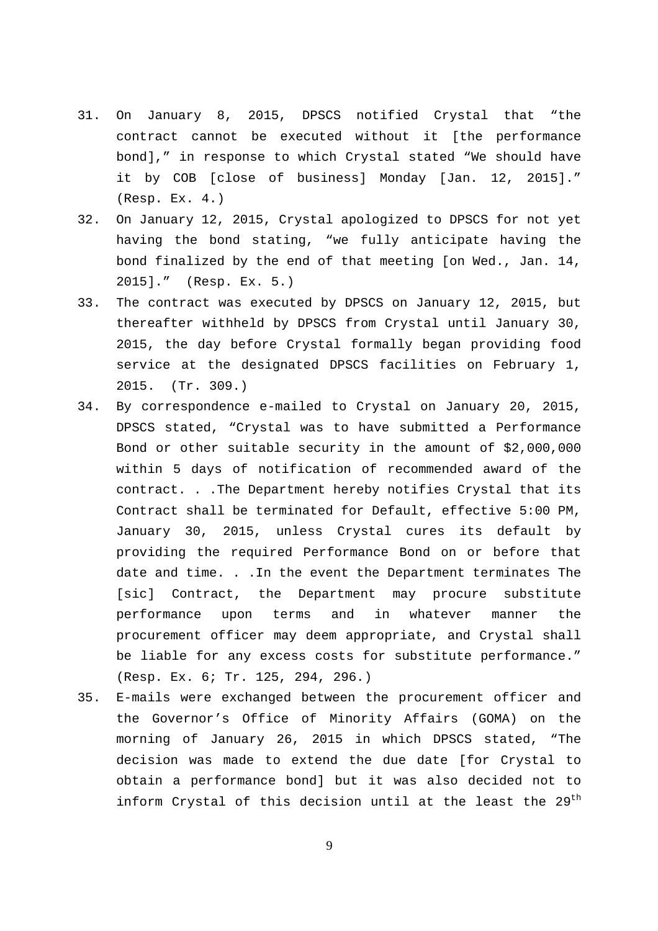- 31. On January 8, 2015, DPSCS notified Crystal that "the contract cannot be executed without it [the performance bond]," in response to which Crystal stated "We should have it by COB [close of business] Monday [Jan. 12, 2015]." (Resp. Ex. 4.)
- 32. On January 12, 2015, Crystal apologized to DPSCS for not yet having the bond stating, "we fully anticipate having the bond finalized by the end of that meeting [on Wed., Jan. 14, 2015]." (Resp. Ex. 5.)
- 33. The contract was executed by DPSCS on January 12, 2015, but thereafter withheld by DPSCS from Crystal until January 30, 2015, the day before Crystal formally began providing food service at the designated DPSCS facilities on February 1, 2015. (Tr. 309.)
- 34. By correspondence e-mailed to Crystal on January 20, 2015, DPSCS stated, "Crystal was to have submitted a Performance Bond or other suitable security in the amount of \$2,000,000 within 5 days of notification of recommended award of the contract. . .The Department hereby notifies Crystal that its Contract shall be terminated for Default, effective 5:00 PM, January 30, 2015, unless Crystal cures its default by providing the required Performance Bond on or before that date and time. . .In the event the Department terminates The [sic] Contract, the Department may procure substitute performance upon terms and in whatever manner the procurement officer may deem appropriate, and Crystal shall be liable for any excess costs for substitute performance." (Resp. Ex. 6; Tr. 125, 294, 296.)
- 35. E-mails were exchanged between the procurement officer and the Governor's Office of Minority Affairs (GOMA) on the morning of January 26, 2015 in which DPSCS stated, "The decision was made to extend the due date [for Crystal to obtain a performance bond] but it was also decided not to inform Crystal of this decision until at the least the 29<sup>th</sup>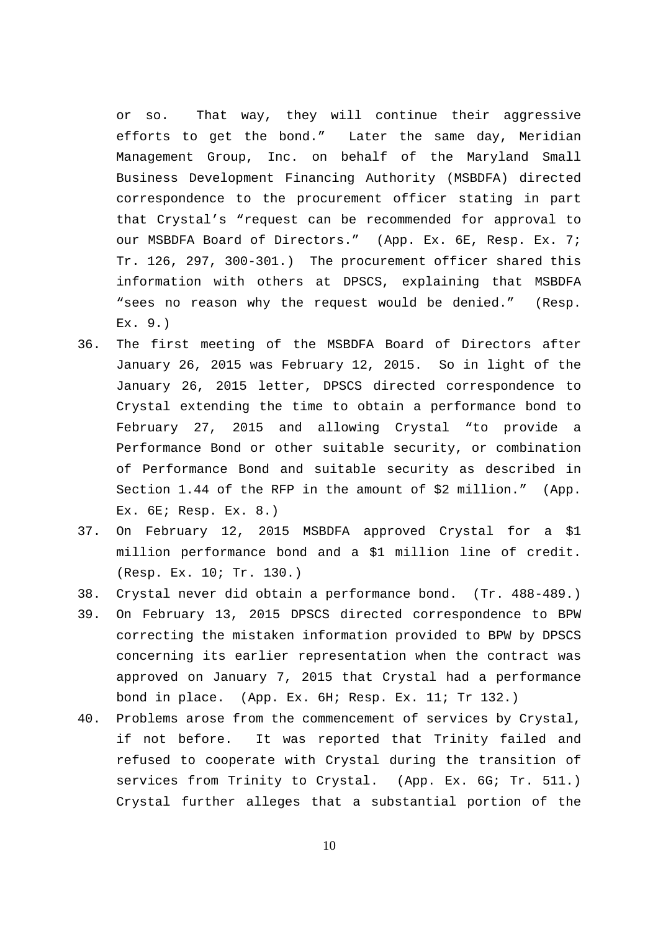or so. That way, they will continue their aggressive efforts to get the bond." Later the same day, Meridian Management Group, Inc. on behalf of the Maryland Small Business Development Financing Authority (MSBDFA) directed correspondence to the procurement officer stating in part that Crystal's "request can be recommended for approval to our MSBDFA Board of Directors." (App. Ex. 6E, Resp. Ex. 7; Tr. 126, 297, 300-301.) The procurement officer shared this information with others at DPSCS, explaining that MSBDFA "sees no reason why the request would be denied." (Resp. Ex. 9.)

- 36. The first meeting of the MSBDFA Board of Directors after January 26, 2015 was February 12, 2015. So in light of the January 26, 2015 letter, DPSCS directed correspondence to Crystal extending the time to obtain a performance bond to February 27, 2015 and allowing Crystal "to provide a Performance Bond or other suitable security, or combination of Performance Bond and suitable security as described in Section 1.44 of the RFP in the amount of \$2 million." (App. Ex. 6E; Resp. Ex. 8.)
- 37. On February 12, 2015 MSBDFA approved Crystal for a \$1 million performance bond and a \$1 million line of credit. (Resp. Ex. 10; Tr. 130.)
- 38. Crystal never did obtain a performance bond. (Tr. 488-489.)
- 39. On February 13, 2015 DPSCS directed correspondence to BPW correcting the mistaken information provided to BPW by DPSCS concerning its earlier representation when the contract was approved on January 7, 2015 that Crystal had a performance bond in place. (App. Ex. 6H; Resp. Ex. 11; Tr 132.)
- 40. Problems arose from the commencement of services by Crystal, if not before. It was reported that Trinity failed and refused to cooperate with Crystal during the transition of services from Trinity to Crystal. (App. Ex. 6G; Tr. 511.) Crystal further alleges that a substantial portion of the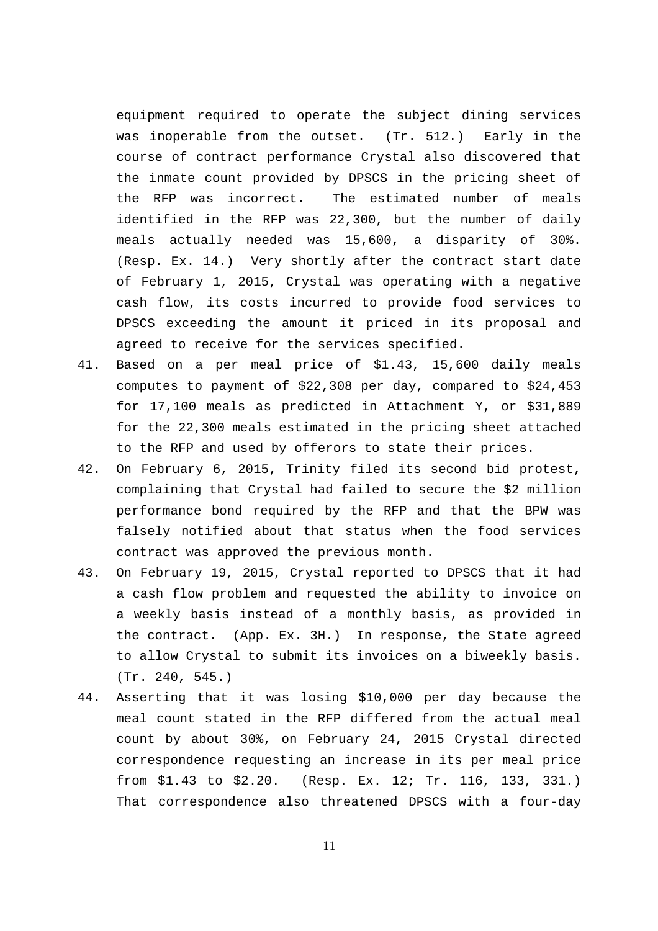equipment required to operate the subject dining services was inoperable from the outset. (Tr. 512.) Early in the course of contract performance Crystal also discovered that the inmate count provided by DPSCS in the pricing sheet of the RFP was incorrect. The estimated number of meals identified in the RFP was 22,300, but the number of daily meals actually needed was 15,600, a disparity of 30%. (Resp. Ex. 14.) Very shortly after the contract start date of February 1, 2015, Crystal was operating with a negative cash flow, its costs incurred to provide food services to DPSCS exceeding the amount it priced in its proposal and agreed to receive for the services specified.

- 41. Based on a per meal price of \$1.43, 15,600 daily meals computes to payment of \$22,308 per day, compared to \$24,453 for 17,100 meals as predicted in Attachment Y, or \$31,889 for the 22,300 meals estimated in the pricing sheet attached to the RFP and used by offerors to state their prices.
- 42. On February 6, 2015, Trinity filed its second bid protest, complaining that Crystal had failed to secure the \$2 million performance bond required by the RFP and that the BPW was falsely notified about that status when the food services contract was approved the previous month.
- 43. On February 19, 2015, Crystal reported to DPSCS that it had a cash flow problem and requested the ability to invoice on a weekly basis instead of a monthly basis, as provided in the contract. (App. Ex. 3H.) In response, the State agreed to allow Crystal to submit its invoices on a biweekly basis. (Tr. 240, 545.)
- 44. Asserting that it was losing \$10,000 per day because the meal count stated in the RFP differed from the actual meal count by about 30%, on February 24, 2015 Crystal directed correspondence requesting an increase in its per meal price from \$1.43 to \$2.20. (Resp. Ex. 12; Tr. 116, 133, 331.) That correspondence also threatened DPSCS with a four-day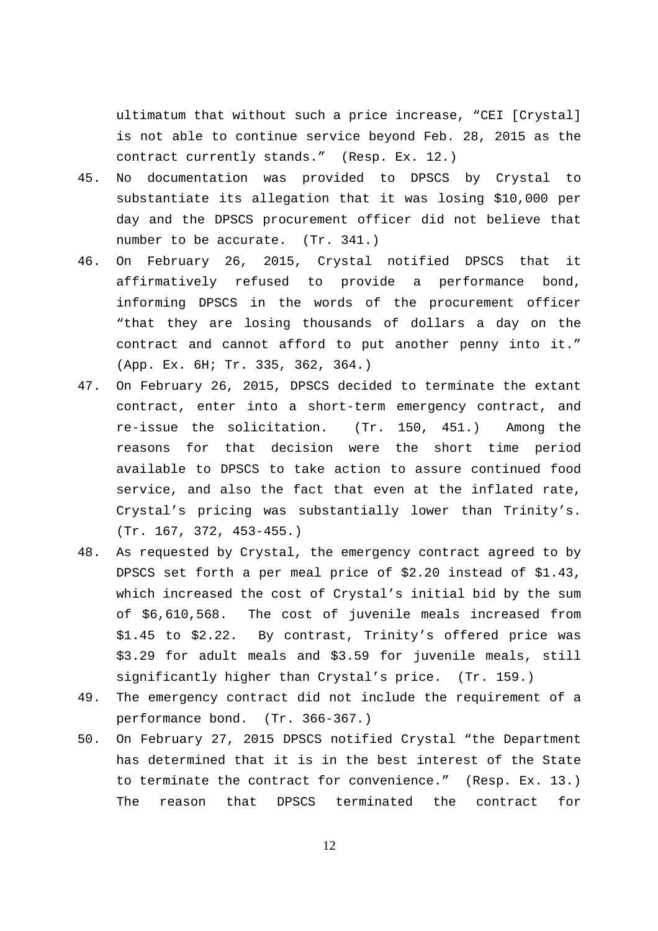ultimatum that without such a price increase, "CEI [Crystal] is not able to continue service beyond Feb. 28, 2015 as the contract currently stands." (Resp. Ex. 12.)

- 45. No documentation was provided to DPSCS by Crystal to substantiate its allegation that it was losing \$10,000 per day and the DPSCS procurement officer did not believe that number to be accurate. (Tr. 341.)
- 46. On February 26, 2015, Crystal notified DPSCS that it affirmatively refused to provide a performance bond, informing DPSCS in the words of the procurement officer "that they are losing thousands of dollars a day on the contract and cannot afford to put another penny into it." (App. Ex. 6H; Tr. 335, 362, 364.)
- 47. On February 26, 2015, DPSCS decided to terminate the extant contract, enter into a short-term emergency contract, and re-issue the solicitation. (Tr. 150, 451.) Among the reasons for that decision were the short time period available to DPSCS to take action to assure continued food service, and also the fact that even at the inflated rate, Crystal's pricing was substantially lower than Trinity's. (Tr. 167, 372, 453-455.)
- 48. As requested by Crystal, the emergency contract agreed to by DPSCS set forth a per meal price of \$2.20 instead of \$1.43, which increased the cost of Crystal's initial bid by the sum of \$6,610,568. The cost of juvenile meals increased from \$1.45 to \$2.22. By contrast, Trinity's offered price was \$3.29 for adult meals and \$3.59 for juvenile meals, still significantly higher than Crystal's price. (Tr. 159.)
- 49. The emergency contract did not include the requirement of a performance bond. (Tr. 366-367.)
- 50. On February 27, 2015 DPSCS notified Crystal "the Department has determined that it is in the best interest of the State to terminate the contract for convenience." (Resp. Ex. 13.) The reason that DPSCS terminated the contract for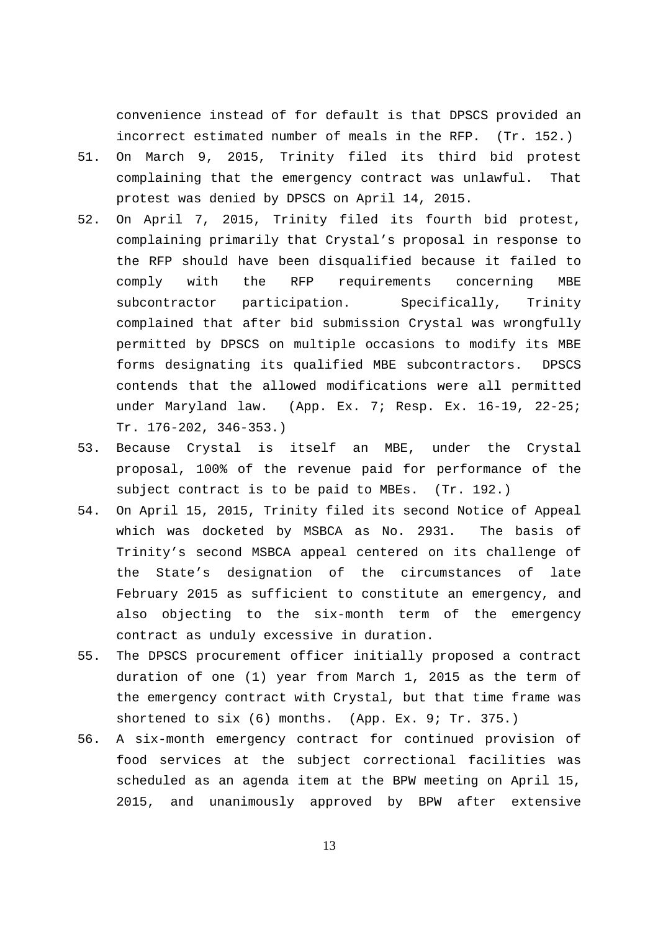convenience instead of for default is that DPSCS provided an incorrect estimated number of meals in the RFP. (Tr. 152.)

- 51. On March 9, 2015, Trinity filed its third bid protest complaining that the emergency contract was unlawful. That protest was denied by DPSCS on April 14, 2015.
- 52. On April 7, 2015, Trinity filed its fourth bid protest, complaining primarily that Crystal's proposal in response to the RFP should have been disqualified because it failed to comply with the RFP requirements concerning MBE subcontractor participation. Specifically, Trinity complained that after bid submission Crystal was wrongfully permitted by DPSCS on multiple occasions to modify its MBE forms designating its qualified MBE subcontractors. DPSCS contends that the allowed modifications were all permitted under Maryland law. (App. Ex. 7; Resp. Ex. 16-19, 22-25; Tr. 176-202, 346-353.)
- 53. Because Crystal is itself an MBE, under the Crystal proposal, 100% of the revenue paid for performance of the subject contract is to be paid to MBEs. (Tr. 192.)
- 54. On April 15, 2015, Trinity filed its second Notice of Appeal which was docketed by MSBCA as No. 2931. The basis of Trinity's second MSBCA appeal centered on its challenge of the State's designation of the circumstances of late February 2015 as sufficient to constitute an emergency, and also objecting to the six-month term of the emergency contract as unduly excessive in duration.
- 55. The DPSCS procurement officer initially proposed a contract duration of one (1) year from March 1, 2015 as the term of the emergency contract with Crystal, but that time frame was shortened to six (6) months. (App. Ex. 9; Tr. 375.)
- 56. A six-month emergency contract for continued provision of food services at the subject correctional facilities was scheduled as an agenda item at the BPW meeting on April 15, 2015, and unanimously approved by BPW after extensive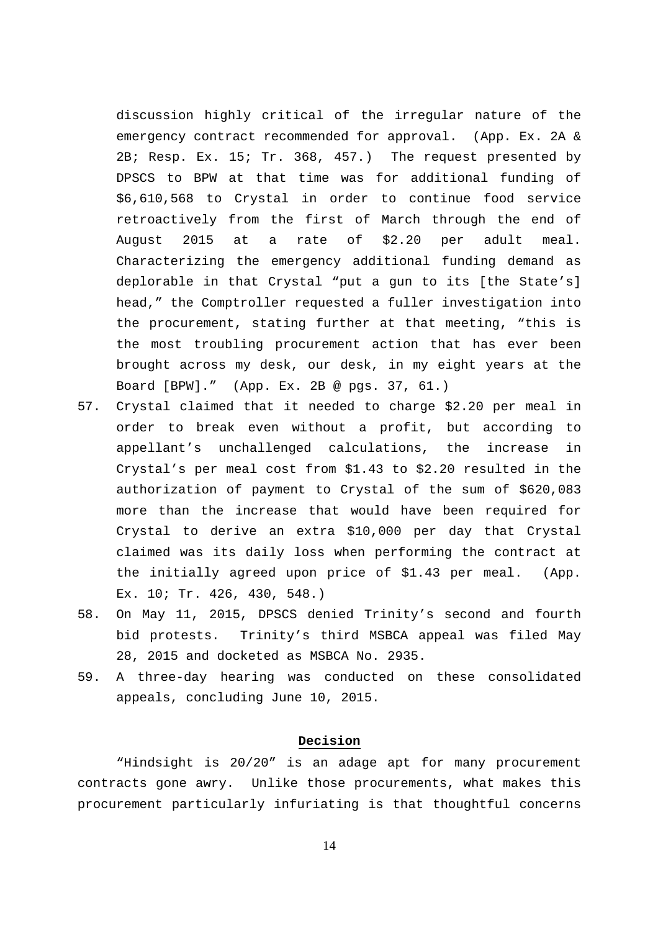discussion highly critical of the irregular nature of the emergency contract recommended for approval. (App. Ex. 2A & 2B; Resp. Ex. 15; Tr. 368, 457.) The request presented by DPSCS to BPW at that time was for additional funding of \$6,610,568 to Crystal in order to continue food service retroactively from the first of March through the end of August 2015 at a rate of \$2.20 per adult meal. Characterizing the emergency additional funding demand as deplorable in that Crystal "put a gun to its [the State's] head," the Comptroller requested a fuller investigation into the procurement, stating further at that meeting, "this is the most troubling procurement action that has ever been brought across my desk, our desk, in my eight years at the Board [BPW]." (App. Ex. 2B @ pgs. 37, 61.)

- 57. Crystal claimed that it needed to charge \$2.20 per meal in order to break even without a profit, but according to appellant's unchallenged calculations, the increase in Crystal's per meal cost from \$1.43 to \$2.20 resulted in the authorization of payment to Crystal of the sum of \$620,083 more than the increase that would have been required for Crystal to derive an extra \$10,000 per day that Crystal claimed was its daily loss when performing the contract at the initially agreed upon price of \$1.43 per meal. (App. Ex. 10; Tr. 426, 430, 548.)
- 58. On May 11, 2015, DPSCS denied Trinity's second and fourth bid protests. Trinity's third MSBCA appeal was filed May 28, 2015 and docketed as MSBCA No. 2935.
- 59. A three-day hearing was conducted on these consolidated appeals, concluding June 10, 2015.

## **Decision**

"Hindsight is 20/20" is an adage apt for many procurement contracts gone awry. Unlike those procurements, what makes this procurement particularly infuriating is that thoughtful concerns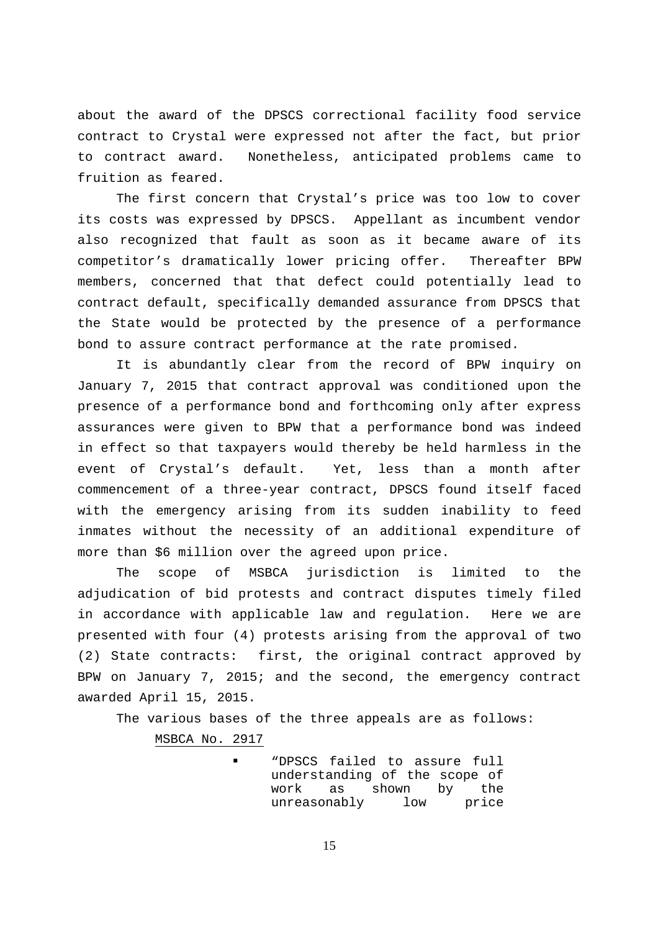about the award of the DPSCS correctional facility food service contract to Crystal were expressed not after the fact, but prior to contract award. Nonetheless, anticipated problems came to fruition as feared.

The first concern that Crystal's price was too low to cover its costs was expressed by DPSCS. Appellant as incumbent vendor also recognized that fault as soon as it became aware of its competitor's dramatically lower pricing offer. Thereafter BPW members, concerned that that defect could potentially lead to contract default, specifically demanded assurance from DPSCS that the State would be protected by the presence of a performance bond to assure contract performance at the rate promised.

It is abundantly clear from the record of BPW inquiry on January 7, 2015 that contract approval was conditioned upon the presence of a performance bond and forthcoming only after express assurances were given to BPW that a performance bond was indeed in effect so that taxpayers would thereby be held harmless in the event of Crystal's default. Yet, less than a month after commencement of a three-year contract, DPSCS found itself faced with the emergency arising from its sudden inability to feed inmates without the necessity of an additional expenditure of more than \$6 million over the agreed upon price.

 The scope of MSBCA jurisdiction is limited to the adjudication of bid protests and contract disputes timely filed in accordance with applicable law and regulation. Here we are presented with four (4) protests arising from the approval of two (2) State contracts: first, the original contract approved by BPW on January 7, 2015; and the second, the emergency contract awarded April 15, 2015.

The various bases of the three appeals are as follows: MSBCA No. 2917

> "DPSCS failed to assure full understanding of the scope of work as shown by the unreasonably low price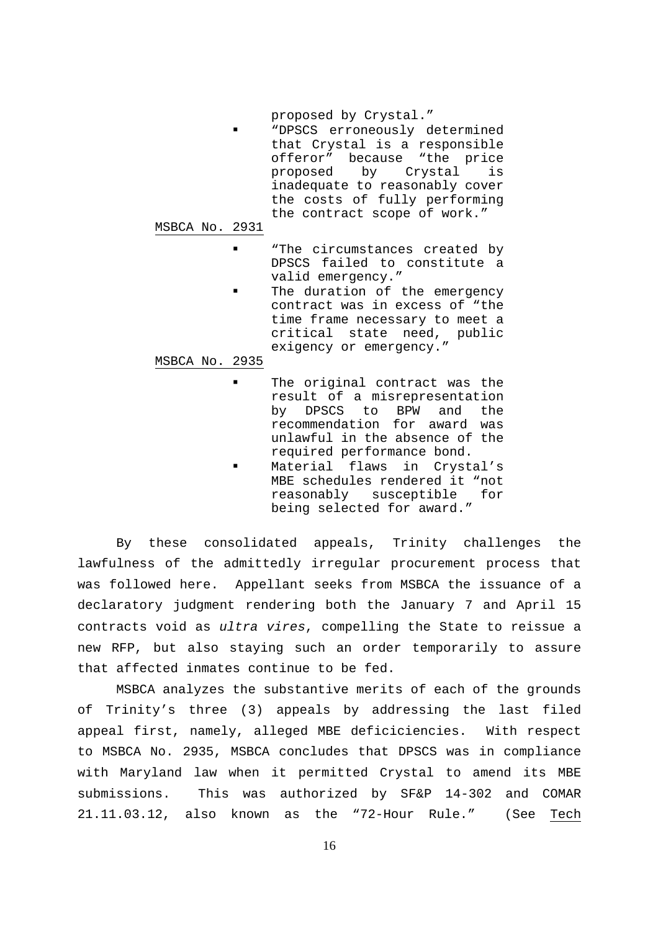proposed by Crystal."

 "DPSCS erroneously determined that Crystal is a responsible offeror" because "the price<br>proposed by Crystal is by Crystal is inadequate to reasonably cover the costs of fully performing the contract scope of work."

MSBCA No. 2931

- **"** "The circumstances created by DPSCS failed to constitute a valid emergency."
- The duration of the emergency contract was in excess of "the time frame necessary to meet a critical state need, public exigency or emergency."

#### MSBCA No. 2935

- The original contract was the result of a misrepresentation by DPSCS to BPW and the recommendation for award was unlawful in the absence of the required performance bond.
- Material flaws in Crystal's MBE schedules rendered it "not reasonably susceptible for being selected for award."

By these consolidated appeals, Trinity challenges the lawfulness of the admittedly irregular procurement process that was followed here. Appellant seeks from MSBCA the issuance of a declaratory judgment rendering both the January 7 and April 15 contracts void as ultra vires, compelling the State to reissue a new RFP, but also staying such an order temporarily to assure that affected inmates continue to be fed.

MSBCA analyzes the substantive merits of each of the grounds of Trinity's three (3) appeals by addressing the last filed appeal first, namely, alleged MBE deficiciencies. With respect to MSBCA No. 2935, MSBCA concludes that DPSCS was in compliance with Maryland law when it permitted Crystal to amend its MBE submissions. This was authorized by SF&P 14-302 and COMAR 21.11.03.12, also known as the "72-Hour Rule." (See Tech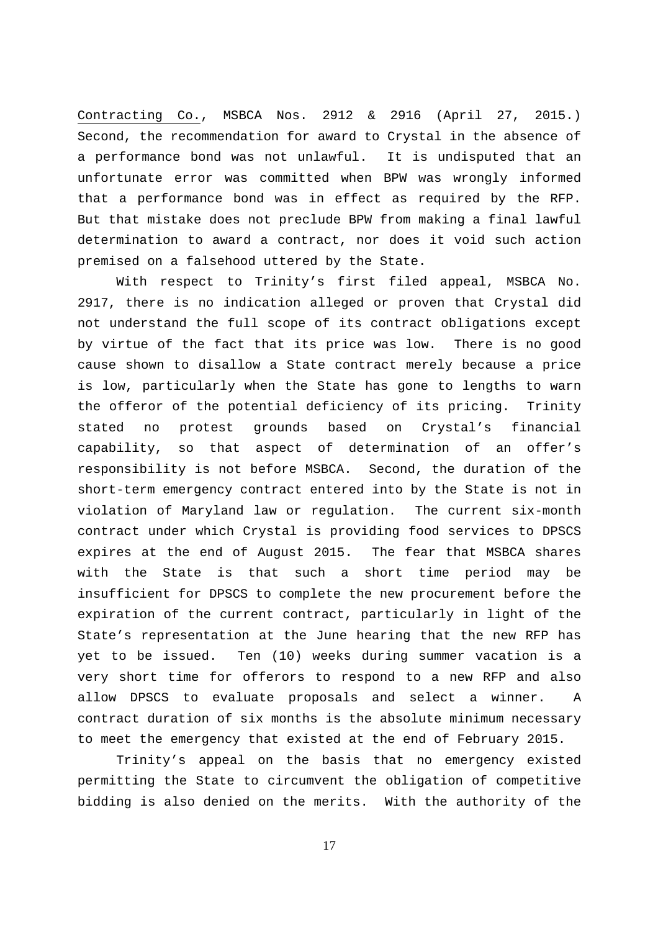Contracting Co., MSBCA Nos. 2912 & 2916 (April 27, 2015.) Second, the recommendation for award to Crystal in the absence of a performance bond was not unlawful. It is undisputed that an unfortunate error was committed when BPW was wrongly informed that a performance bond was in effect as required by the RFP. But that mistake does not preclude BPW from making a final lawful determination to award a contract, nor does it void such action premised on a falsehood uttered by the State.

With respect to Trinity's first filed appeal, MSBCA No. 2917, there is no indication alleged or proven that Crystal did not understand the full scope of its contract obligations except by virtue of the fact that its price was low. There is no good cause shown to disallow a State contract merely because a price is low, particularly when the State has gone to lengths to warn the offeror of the potential deficiency of its pricing. Trinity stated no protest grounds based on Crystal's financial capability, so that aspect of determination of an offer's responsibility is not before MSBCA. Second, the duration of the short-term emergency contract entered into by the State is not in violation of Maryland law or regulation. The current six-month contract under which Crystal is providing food services to DPSCS expires at the end of August 2015. The fear that MSBCA shares with the State is that such a short time period may be insufficient for DPSCS to complete the new procurement before the expiration of the current contract, particularly in light of the State's representation at the June hearing that the new RFP has yet to be issued. Ten (10) weeks during summer vacation is a very short time for offerors to respond to a new RFP and also allow DPSCS to evaluate proposals and select a winner. A contract duration of six months is the absolute minimum necessary to meet the emergency that existed at the end of February 2015.

Trinity's appeal on the basis that no emergency existed permitting the State to circumvent the obligation of competitive bidding is also denied on the merits. With the authority of the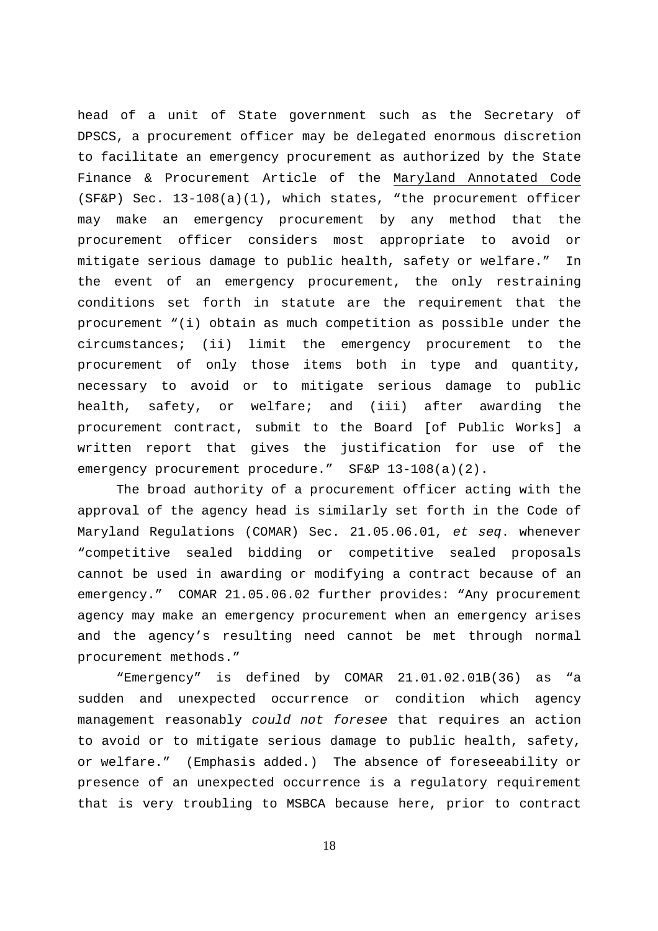head of a unit of State government such as the Secretary of DPSCS, a procurement officer may be delegated enormous discretion to facilitate an emergency procurement as authorized by the State Finance & Procurement Article of the Maryland Annotated Code (SF&P) Sec. 13-108(a)(1), which states, "the procurement officer may make an emergency procurement by any method that the procurement officer considers most appropriate to avoid or mitigate serious damage to public health, safety or welfare." In the event of an emergency procurement, the only restraining conditions set forth in statute are the requirement that the procurement "(i) obtain as much competition as possible under the circumstances; (ii) limit the emergency procurement to the procurement of only those items both in type and quantity, necessary to avoid or to mitigate serious damage to public health, safety, or welfare; and (iii) after awarding the procurement contract, submit to the Board [of Public Works] a written report that gives the justification for use of the emergency procurement procedure." SF&P 13-108(a)(2).

 The broad authority of a procurement officer acting with the approval of the agency head is similarly set forth in the Code of Maryland Regulations (COMAR) Sec. 21.05.06.01, et seq. whenever "competitive sealed bidding or competitive sealed proposals cannot be used in awarding or modifying a contract because of an emergency." COMAR 21.05.06.02 further provides: "Any procurement agency may make an emergency procurement when an emergency arises and the agency's resulting need cannot be met through normal procurement methods."

 "Emergency" is defined by COMAR 21.01.02.01B(36) as "a sudden and unexpected occurrence or condition which agency management reasonably could not foresee that requires an action to avoid or to mitigate serious damage to public health, safety, or welfare." (Emphasis added.) The absence of foreseeability or presence of an unexpected occurrence is a regulatory requirement that is very troubling to MSBCA because here, prior to contract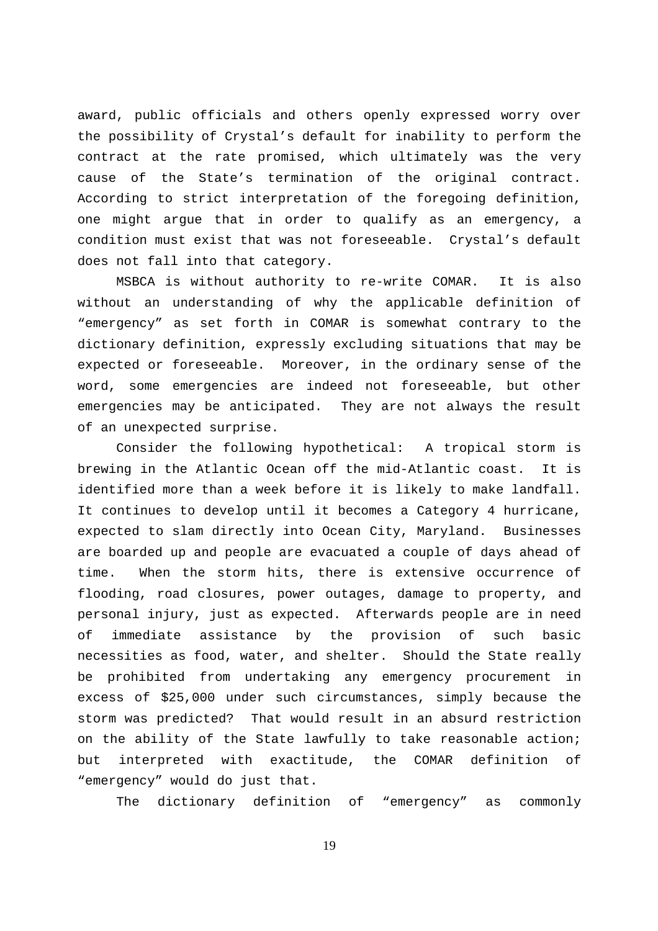award, public officials and others openly expressed worry over the possibility of Crystal's default for inability to perform the contract at the rate promised, which ultimately was the very cause of the State's termination of the original contract. According to strict interpretation of the foregoing definition, one might argue that in order to qualify as an emergency, a condition must exist that was not foreseeable. Crystal's default does not fall into that category.

 MSBCA is without authority to re-write COMAR. It is also without an understanding of why the applicable definition of "emergency" as set forth in COMAR is somewhat contrary to the dictionary definition, expressly excluding situations that may be expected or foreseeable. Moreover, in the ordinary sense of the word, some emergencies are indeed not foreseeable, but other emergencies may be anticipated. They are not always the result of an unexpected surprise.

Consider the following hypothetical: A tropical storm is brewing in the Atlantic Ocean off the mid-Atlantic coast. It is identified more than a week before it is likely to make landfall. It continues to develop until it becomes a Category 4 hurricane, expected to slam directly into Ocean City, Maryland. Businesses are boarded up and people are evacuated a couple of days ahead of time. When the storm hits, there is extensive occurrence of flooding, road closures, power outages, damage to property, and personal injury, just as expected. Afterwards people are in need of immediate assistance by the provision of such basic necessities as food, water, and shelter. Should the State really be prohibited from undertaking any emergency procurement in excess of \$25,000 under such circumstances, simply because the storm was predicted? That would result in an absurd restriction on the ability of the State lawfully to take reasonable action; but interpreted with exactitude, the COMAR definition of "emergency" would do just that.

The dictionary definition of "emergency" as commonly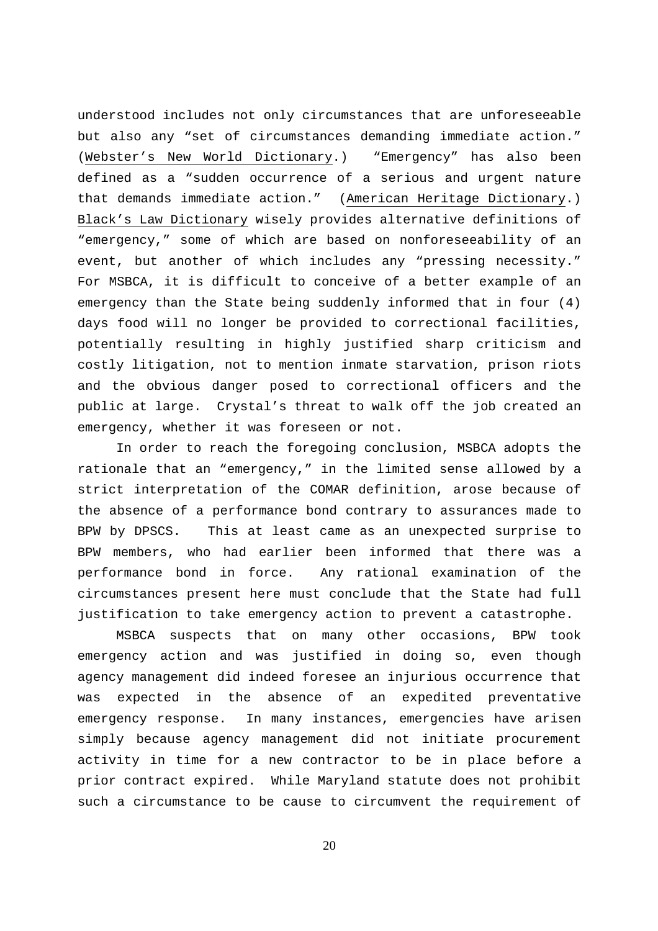understood includes not only circumstances that are unforeseeable but also any "set of circumstances demanding immediate action." (Webster's New World Dictionary.) "Emergency" has also been defined as a "sudden occurrence of a serious and urgent nature that demands immediate action." (American Heritage Dictionary.) Black's Law Dictionary wisely provides alternative definitions of "emergency," some of which are based on nonforeseeability of an event, but another of which includes any "pressing necessity." For MSBCA, it is difficult to conceive of a better example of an emergency than the State being suddenly informed that in four (4) days food will no longer be provided to correctional facilities, potentially resulting in highly justified sharp criticism and costly litigation, not to mention inmate starvation, prison riots and the obvious danger posed to correctional officers and the public at large. Crystal's threat to walk off the job created an emergency, whether it was foreseen or not.

In order to reach the foregoing conclusion, MSBCA adopts the rationale that an "emergency," in the limited sense allowed by a strict interpretation of the COMAR definition, arose because of the absence of a performance bond contrary to assurances made to BPW by DPSCS. This at least came as an unexpected surprise to BPW members, who had earlier been informed that there was a performance bond in force. Any rational examination of the circumstances present here must conclude that the State had full justification to take emergency action to prevent a catastrophe.

MSBCA suspects that on many other occasions, BPW took emergency action and was justified in doing so, even though agency management did indeed foresee an injurious occurrence that was expected in the absence of an expedited preventative emergency response. In many instances, emergencies have arisen simply because agency management did not initiate procurement activity in time for a new contractor to be in place before a prior contract expired. While Maryland statute does not prohibit such a circumstance to be cause to circumvent the requirement of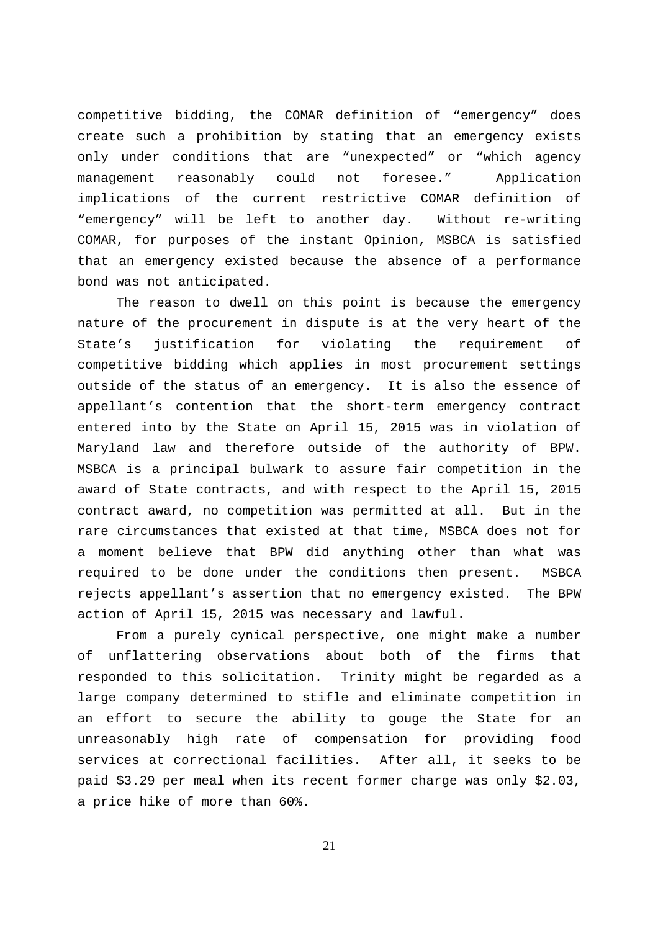competitive bidding, the COMAR definition of "emergency" does create such a prohibition by stating that an emergency exists only under conditions that are "unexpected" or "which agency management reasonably could not foresee." Application implications of the current restrictive COMAR definition of "emergency" will be left to another day. Without re-writing COMAR, for purposes of the instant Opinion, MSBCA is satisfied that an emergency existed because the absence of a performance bond was not anticipated.

The reason to dwell on this point is because the emergency nature of the procurement in dispute is at the very heart of the State's justification for violating the requirement of competitive bidding which applies in most procurement settings outside of the status of an emergency. It is also the essence of appellant's contention that the short-term emergency contract entered into by the State on April 15, 2015 was in violation of Maryland law and therefore outside of the authority of BPW. MSBCA is a principal bulwark to assure fair competition in the award of State contracts, and with respect to the April 15, 2015 contract award, no competition was permitted at all. But in the rare circumstances that existed at that time, MSBCA does not for a moment believe that BPW did anything other than what was required to be done under the conditions then present. MSBCA rejects appellant's assertion that no emergency existed. The BPW action of April 15, 2015 was necessary and lawful.

From a purely cynical perspective, one might make a number of unflattering observations about both of the firms that responded to this solicitation. Trinity might be regarded as a large company determined to stifle and eliminate competition in an effort to secure the ability to gouge the State for an unreasonably high rate of compensation for providing food services at correctional facilities. After all, it seeks to be paid \$3.29 per meal when its recent former charge was only \$2.03, a price hike of more than 60%.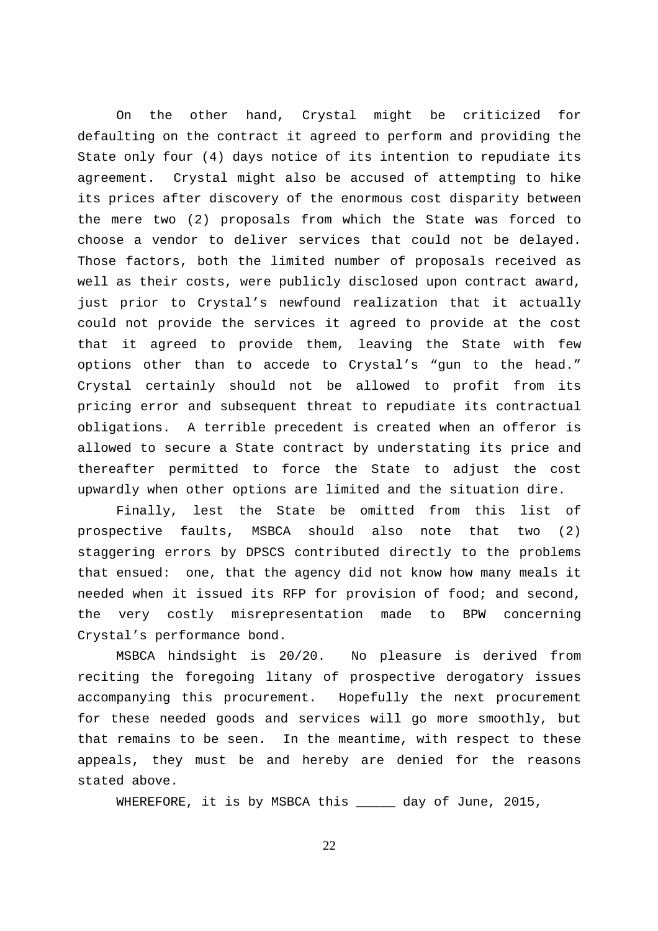On the other hand, Crystal might be criticized for defaulting on the contract it agreed to perform and providing the State only four (4) days notice of its intention to repudiate its agreement. Crystal might also be accused of attempting to hike its prices after discovery of the enormous cost disparity between the mere two (2) proposals from which the State was forced to choose a vendor to deliver services that could not be delayed. Those factors, both the limited number of proposals received as well as their costs, were publicly disclosed upon contract award, just prior to Crystal's newfound realization that it actually could not provide the services it agreed to provide at the cost that it agreed to provide them, leaving the State with few options other than to accede to Crystal's "gun to the head." Crystal certainly should not be allowed to profit from its pricing error and subsequent threat to repudiate its contractual obligations. A terrible precedent is created when an offeror is allowed to secure a State contract by understating its price and thereafter permitted to force the State to adjust the cost upwardly when other options are limited and the situation dire.

Finally, lest the State be omitted from this list of prospective faults, MSBCA should also note that two (2) staggering errors by DPSCS contributed directly to the problems that ensued: one, that the agency did not know how many meals it needed when it issued its RFP for provision of food; and second, the very costly misrepresentation made to BPW concerning Crystal's performance bond.

MSBCA hindsight is 20/20. No pleasure is derived from reciting the foregoing litany of prospective derogatory issues accompanying this procurement. Hopefully the next procurement for these needed goods and services will go more smoothly, but that remains to be seen. In the meantime, with respect to these appeals, they must be and hereby are denied for the reasons stated above.

WHEREFORE, it is by MSBCA this \_\_\_\_\_ day of June, 2015,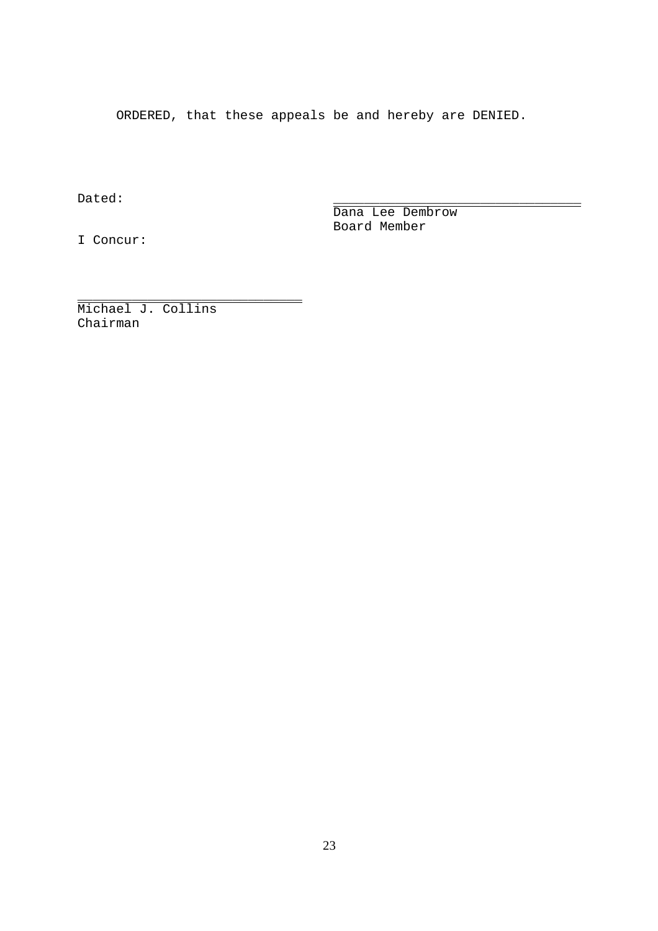ORDERED, that these appeals be and hereby are DENIED.

\_\_\_\_\_\_\_\_\_\_\_\_\_\_\_\_\_\_\_\_\_\_\_\_\_\_\_\_\_

Dated: \_\_\_\_\_\_\_\_\_\_\_\_\_\_\_\_\_\_\_\_\_\_\_\_\_\_\_\_\_\_\_\_

Dana Lee Dembrow Board Member

I Concur:

Michael J. Collins Chairman